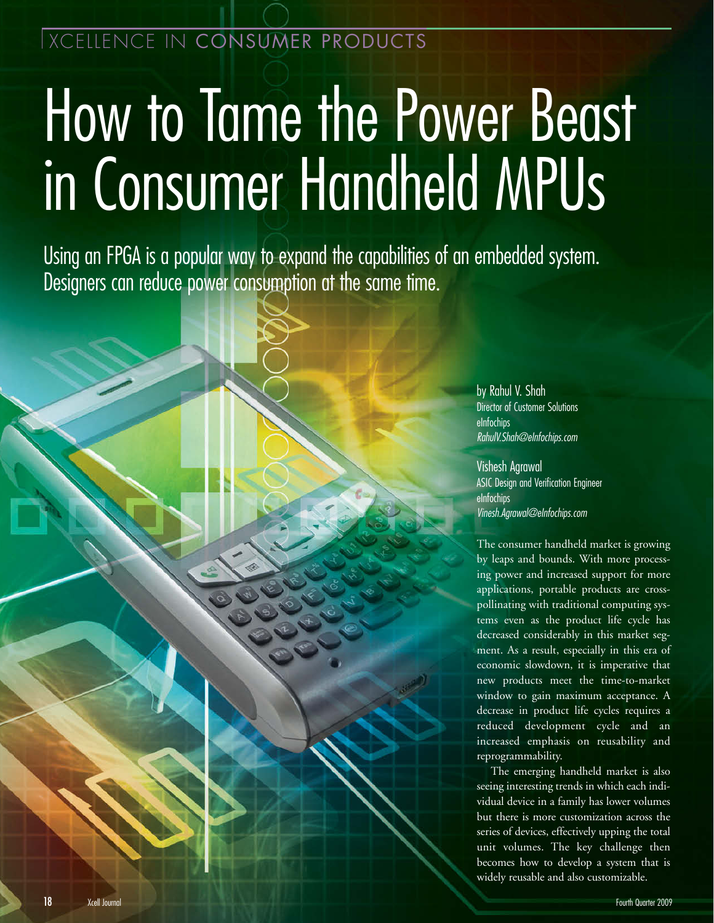# How to Tame the Power Beast in Consumer Handheld MPUs

Using an FPGA is a popular way to expand the capabilities of an embedded system. Designers can reduce power consumption at the same time.

> by Rahul V. Shah Director of Customer Solutions eInfochips RahulV.Shah@eInfochips.com

Vishesh Agrawal ASIC Design and Verification Engineer eInfochips Vinesh.Agrawal@eInfochips.com

The consumer handheld market is growing by leaps and bounds. With more processing power and increased support for more applications, portable products are crosspollinating with traditional computing systems even as the product life cycle has decreased considerably in this market segment. As a result, especially in this era of economic slowdown, it is imperative that new products meet the time-to-market window to gain maximum acceptance. A decrease in product life cycles requires a reduced development cycle and an increased emphasis on reusability and reprogrammability.

The emerging handheld market is also seeing interesting trends in which each individual device in a family has lower volumes but there is more customization across the series of devices, effectively upping the total unit volumes. The key challenge then becomes how to develop a system that is widely reusable and also customizable.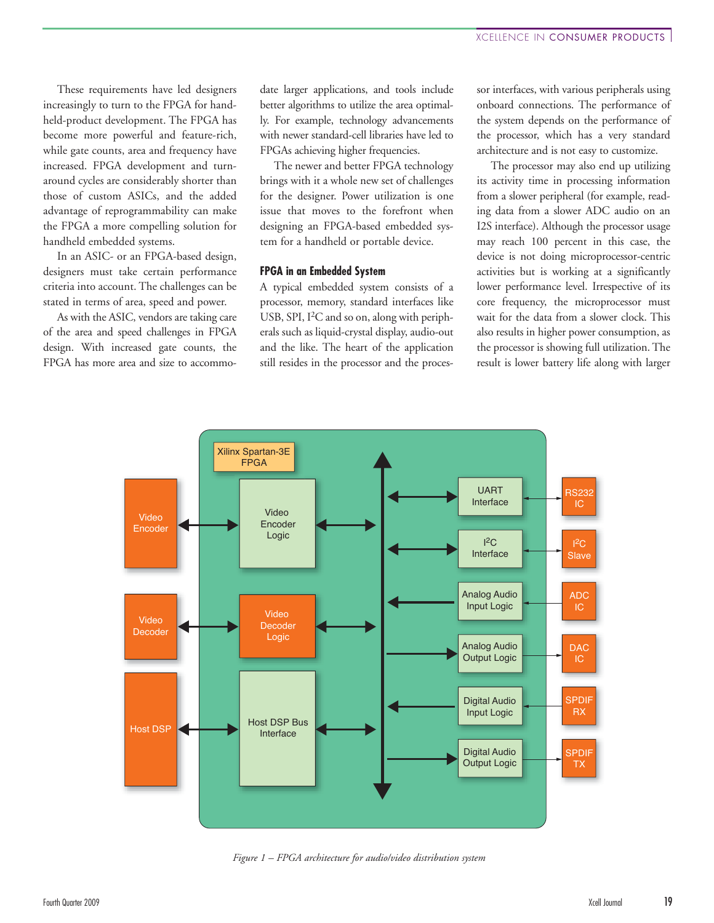These requirements have led designers increasingly to turn to the FPGA for handheld-product development. The FPGA has become more powerful and feature-rich, while gate counts, area and frequency have increased. FPGA development and turnaround cycles are considerably shorter than those of custom ASICs, and the added advantage of reprogrammability can make the FPGA a more compelling solution for handheld embedded systems.

In an ASIC- or an FPGA-based design, designers must take certain performance criteria into account. The challenges can be stated in terms of area, speed and power.

As with the ASIC, vendors are taking care of the area and speed challenges in FPGA design. With increased gate counts, the FPGA has more area and size to accommodate larger applications, and tools include better algorithms to utilize the area optimally. For example, technology advancements with newer standard-cell libraries have led to FPGAs achieving higher frequencies.

The newer and better FPGA technology brings with it a whole new set of challenges for the designer. Power utilization is one issue that moves to the forefront when designing an FPGA-based embedded system for a handheld or portable device.

#### **FPGA in an Embedded System**

A typical embedded system consists of a processor, memory, standard interfaces like USB, SPI, I<sup>2</sup>C and so on, along with peripherals such as liquid-crystal display, audio-out and the like. The heart of the application still resides in the processor and the processor interfaces, with various peripherals using onboard connections. The performance of the system depends on the performance of the processor, which has a very standard architecture and is not easy to customize.

The processor may also end up utilizing its activity time in processing information from a slower peripheral (for example, reading data from a slower ADC audio on an I2S interface). Although the processor usage may reach 100 percent in this case, the device is not doing microprocessor-centric activities but is working at a significantly lower performance level. Irrespective of its core frequency, the microprocessor must wait for the data from a slower clock. This also results in higher power consumption, as the processor is showing full utilization. The result is lower battery life along with larger



*Figure 1 – FPGA architecture for audio/video distribution system*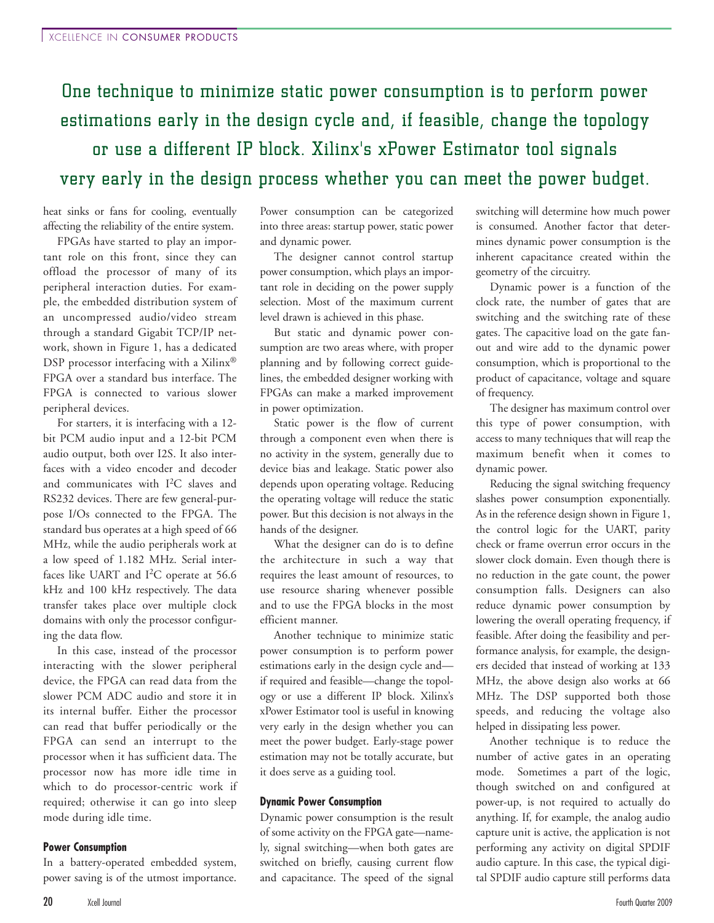## One technique to minimize static power consumption is to perform power estimations early in the design cycle and, if feasible, change the topology or use a different IP block. Xilinx's xPower Estimator tool signals very early in the design process whether you can meet the power budget.

heat sinks or fans for cooling, eventually affecting the reliability of the entire system.

FPGAs have started to play an important role on this front, since they can offload the processor of many of its peripheral interaction duties. For example, the embedded distribution system of an uncompressed audio/video stream through a standard Gigabit TCP/IP network, shown in Figure 1, has a dedicated DSP processor interfacing with a Xilinx<sup>®</sup> FPGA over a standard bus interface. The FPGA is connected to various slower peripheral devices.

For starters, it is interfacing with a 12 bit PCM audio input and a 12-bit PCM audio output, both over I2S. It also interfaces with a video encoder and decoder and communicates with I2C slaves and RS232 devices. There are few general-purpose I/Os connected to the FPGA. The standard bus operates at a high speed of 66 MHz, while the audio peripherals work at a low speed of 1.182 MHz. Serial interfaces like UART and  $I^2C$  operate at 56.6 kHz and 100 kHz respectively. The data transfer takes place over multiple clock domains with only the processor configuring the data flow.

In this case, instead of the processor interacting with the slower peripheral device, the FPGA can read data from the slower PCM ADC audio and store it in its internal buffer. Either the processor can read that buffer periodically or the FPGA can send an interrupt to the processor when it has sufficient data. The processor now has more idle time in which to do processor-centric work if required; otherwise it can go into sleep mode during idle time.

#### **Power Consumption**

In a battery-operated embedded system, power saving is of the utmost importance. Power consumption can be categorized into three areas: startup power, static power and dynamic power.

The designer cannot control startup power consumption, which plays an important role in deciding on the power supply selection. Most of the maximum current level drawn is achieved in this phase.

But static and dynamic power consumption are two areas where, with proper planning and by following correct guidelines, the embedded designer working with FPGAs can make a marked improvement in power optimization.

Static power is the flow of current through a component even when there is no activity in the system, generally due to device bias and leakage. Static power also depends upon operating voltage. Reducing the operating voltage will reduce the static power. But this decision is not always in the hands of the designer.

What the designer can do is to define the architecture in such a way that requires the least amount of resources, to use resource sharing whenever possible and to use the FPGA blocks in the most efficient manner.

Another technique to minimize static power consumption is to perform power estimations early in the design cycle and if required and feasible—change the topology or use a different IP block. Xilinx's xPower Estimator tool is useful in knowing very early in the design whether you can meet the power budget. Early-stage power estimation may not be totally accurate, but it does serve as a guiding tool.

#### **Dynamic Power Consumption**

Dynamic power consumption is the result of some activity on the FPGA gate—namely, signal switching—when both gates are switched on briefly, causing current flow and capacitance. The speed of the signal switching will determine how much power is consumed. Another factor that determines dynamic power consumption is the inherent capacitance created within the geometry of the circuitry.

Dynamic power is a function of the clock rate, the number of gates that are switching and the switching rate of these gates. The capacitive load on the gate fanout and wire add to the dynamic power consumption, which is proportional to the product of capacitance, voltage and square of frequency.

The designer has maximum control over this type of power consumption, with access to many techniques that will reap the maximum benefit when it comes to dynamic power.

Reducing the signal switching frequency slashes power consumption exponentially. As in the reference design shown in Figure 1, the control logic for the UART, parity check or frame overrun error occurs in the slower clock domain. Even though there is no reduction in the gate count, the power consumption falls. Designers can also reduce dynamic power consumption by lowering the overall operating frequency, if feasible. After doing the feasibility and performance analysis, for example, the designers decided that instead of working at 133 MHz, the above design also works at 66 MHz. The DSP supported both those speeds, and reducing the voltage also helped in dissipating less power.

Another technique is to reduce the number of active gates in an operating mode. Sometimes a part of the logic, though switched on and configured at power-up, is not required to actually do anything. If, for example, the analog audio capture unit is active, the application is not performing any activity on digital SPDIF audio capture. In this case, the typical digital SPDIF audio capture still performs data